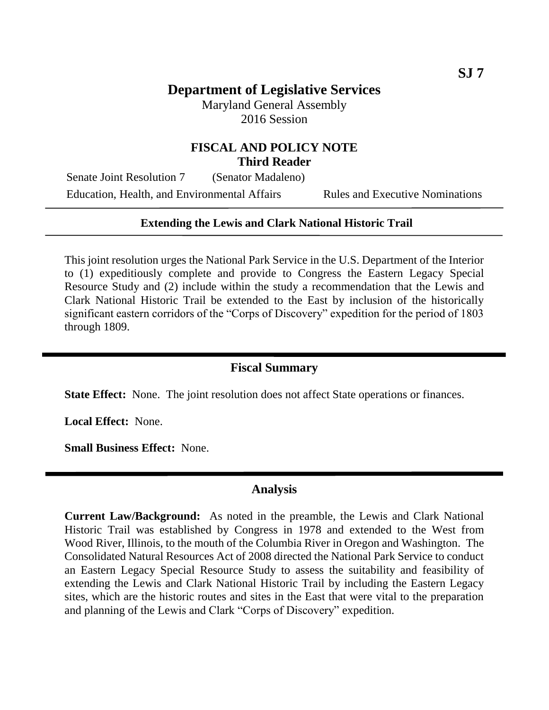# **Department of Legislative Services**

Maryland General Assembly 2016 Session

## **FISCAL AND POLICY NOTE Third Reader**

Senate Joint Resolution 7 (Senator Madaleno) Education, Health, and Environmental Affairs Rules and Executive Nominations

#### **Extending the Lewis and Clark National Historic Trail**

This joint resolution urges the National Park Service in the U.S. Department of the Interior to (1) expeditiously complete and provide to Congress the Eastern Legacy Special Resource Study and (2) include within the study a recommendation that the Lewis and Clark National Historic Trail be extended to the East by inclusion of the historically significant eastern corridors of the "Corps of Discovery" expedition for the period of 1803 through 1809.

## **Fiscal Summary**

**State Effect:** None. The joint resolution does not affect State operations or finances.

**Local Effect:** None.

**Small Business Effect:** None.

## **Analysis**

**Current Law/Background:** As noted in the preamble, the Lewis and Clark National Historic Trail was established by Congress in 1978 and extended to the West from Wood River, Illinois, to the mouth of the Columbia River in Oregon and Washington. The Consolidated Natural Resources Act of 2008 directed the National Park Service to conduct an Eastern Legacy Special Resource Study to assess the suitability and feasibility of extending the Lewis and Clark National Historic Trail by including the Eastern Legacy sites, which are the historic routes and sites in the East that were vital to the preparation and planning of the Lewis and Clark "Corps of Discovery" expedition.